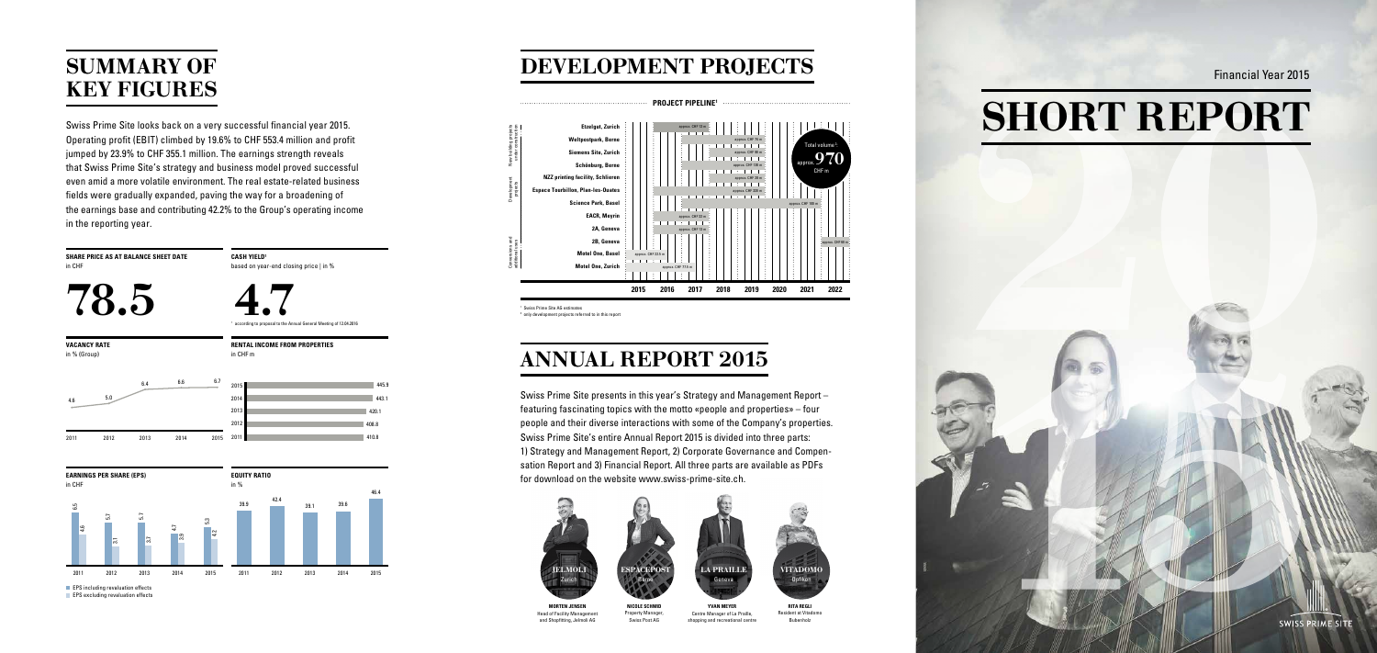Swiss Prime Site looks back on a very successful financial year 2015. Operating profit (EBIT) climbed by 19.6% to CHF 553.4 million and profit jumped by 23.9% to CHF 355.1 million. The earnings strength reveals that Swiss Prime Site's strategy and business model proved successful even amid a more volatile environment. The real estate-related business fields were gradually expanded, paving the way for a broadening of the earnings base and contributing 42.2% to the Group's operating income in the reporting year.

 $1 + 3 + 1 + 1$ approx. CHF 74 m Total volume<sup>2</sup>  $\mathbf{L} \rightarrow \mathbf{L}$  . The first particular : approx. CHF 90 m approx. 970 approx. CHF 130 m  $\mathbb{R}^n$  . The final  $\mathbb{R}^n$ CHF m approx. CHF 28 m approx. CHF 330 m approx. CHF 100 m approx. CHF 60 m **2015 2016 2017 2018 2019 2020 2021 2022**

**CASH YIELD1** based on year-end closing price | in % **Development** projects

**SHARE PRICE AS AT BALANCE SHEET DATE** in CHF

78.5



<sup>1</sup> Swiss Prime Site AG estimates

**RITA REGLI** Resident at Vitadomo Bubenholz

Centre Manager of La Praille, shopping and recreational centre

**MORTEN JENSEN**  Head of Facility Management and Shopfitting, Jelmoli AG

New building projects under construction

Conversions and additional uses

<sup>2</sup> only development projects referred to in this report



## SUMMARY OF KEY FIGURES

DEVELOPMENT PROJECTS

# ANNUAL REPORT 2015

# SHORT REPORT



Financial Year 2015

**RENTAL INCOME FROM PROPERTIES**

in CHF m

410.8 408.8 420.1 443.1

2015 445.9

**EQUITY RATIO**





**EPS** including revaluation effects

**EPS** excluding revaluation effects

**VACANCY RATE** in % (Group)

in CHF

4.6<br>2011

2011



Swiss Prime Site presents in this year's Strategy and Management Report – featuring fascinating topics with the motto «people and properties» – four people and their diverse interactions with some of the Company's properties. Swiss Prime Site's entire Annual Report 2015 is divided into three parts: 1) Strategy and Management Report, 2) Corporate Governance and Compensation Report and 3) Financial Report. All three parts are available as PDFs for download on the website www.swiss-prime-site.ch.

<sup>1</sup> according to proposal to the Annual General Meeting of 12.04.2016



**NICOLE SCHMID** Property Manager, Swiss Post AG